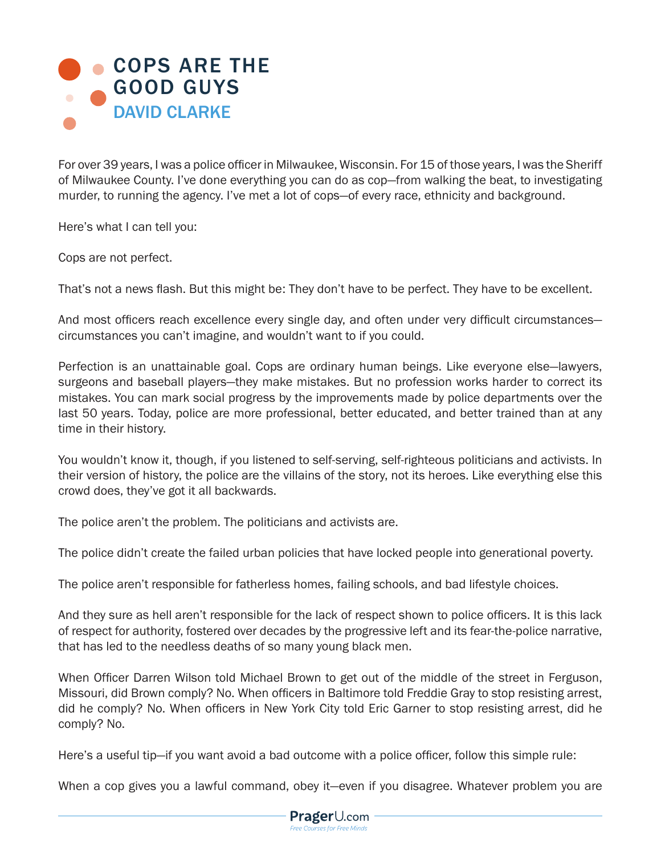## **[COPS ARE THE](https://www.prageru.com/videos/cops-are-good-guys)** GOOD GUYS DAVID CLARKE

For over 39 years, I was a police officer in Milwaukee, Wisconsin. For 15 of those years, I was the Sheriff of Milwaukee County. I've done everything you can do as cop—from walking the beat, to investigating murder, to running the agency. I've met a lot of cops—of every race, ethnicity and background.

Here's what I can tell you:

Cops are not perfect.

That's not a news flash. But this might be: They don't have to be perfect. They have to be excellent.

And most officers reach excellence every single day, and often under very difficult circumstances circumstances you can't imagine, and wouldn't want to if you could.

Perfection is an unattainable goal. Cops are ordinary human beings. Like everyone else—lawyers, surgeons and baseball players—they make mistakes. But no profession works harder to correct its mistakes. You can mark social progress by the improvements made by police departments over the last 50 years. Today, police are more professional, better educated, and better trained than at any time in their history.

You wouldn't know it, though, if you listened to self-serving, self-righteous politicians and activists. In their version of history, the police are the villains of the story, not its heroes. Like everything else this crowd does, they've got it all backwards.

The police aren't the problem. The politicians and activists are.

The police didn't create the failed urban policies that have locked people into generational poverty.

The police aren't responsible for fatherless homes, failing schools, and bad lifestyle choices.

And they sure as hell aren't responsible for the lack of respect shown to police officers. It is this lack of respect for authority, fostered over decades by the progressive left and its fear-the-police narrative, that has led to the needless deaths of so many young black men.

When Officer Darren Wilson told Michael Brown to get out of the middle of the street in Ferguson, Missouri, did Brown comply? No. When officers in Baltimore told Freddie Gray to stop resisting arrest, did he comply? No. When officers in New York City told Eric Garner to stop resisting arrest, did he comply? No.

Here's a useful tip—if you want avoid a bad outcome with a police officer, follow this simple rule:

When a cop gives you a lawful command, obey it—even if you disagree. Whatever problem you are